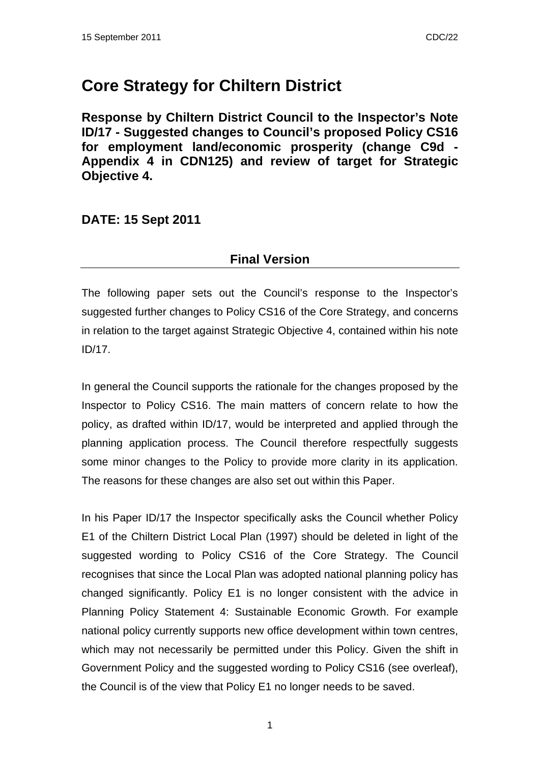# **Core Strategy for Chiltern District**

**Response by Chiltern District Council to the Inspector's Note ID/17 - Suggested changes to Council's proposed Policy CS16 for employment land/economic prosperity (change C9d - Appendix 4 in CDN125) and review of target for Strategic Objective 4.** 

## **DATE: 15 Sept 2011**

## **Final Version**

The following paper sets out the Council's response to the Inspector's suggested further changes to Policy CS16 of the Core Strategy, and concerns in relation to the target against Strategic Objective 4, contained within his note ID/17.

In general the Council supports the rationale for the changes proposed by the Inspector to Policy CS16. The main matters of concern relate to how the policy, as drafted within ID/17, would be interpreted and applied through the planning application process. The Council therefore respectfully suggests some minor changes to the Policy to provide more clarity in its application. The reasons for these changes are also set out within this Paper.

In his Paper ID/17 the Inspector specifically asks the Council whether Policy E1 of the Chiltern District Local Plan (1997) should be deleted in light of the suggested wording to Policy CS16 of the Core Strategy. The Council recognises that since the Local Plan was adopted national planning policy has changed significantly. Policy E1 is no longer consistent with the advice in Planning Policy Statement 4: Sustainable Economic Growth. For example national policy currently supports new office development within town centres, which may not necessarily be permitted under this Policy. Given the shift in Government Policy and the suggested wording to Policy CS16 (see overleaf), the Council is of the view that Policy E1 no longer needs to be saved.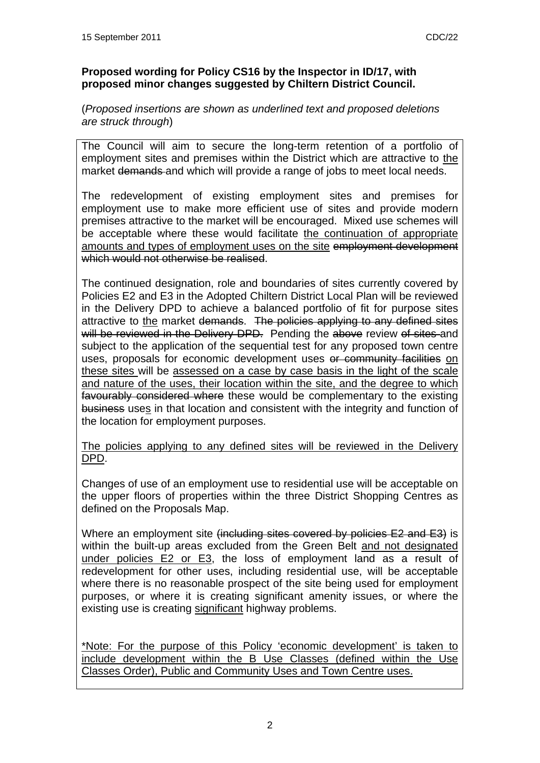#### **Proposed wording for Policy CS16 by the Inspector in ID/17, with proposed minor changes suggested by Chiltern District Council.**

#### (*Proposed insertions are shown as underlined text and proposed deletions are struck through*)

The Council will aim to secure the long-term retention of a portfolio of employment sites and premises within the District which are attractive to the market demands and which will provide a range of jobs to meet local needs.

The redevelopment of existing employment sites and premises for employment use to make more efficient use of sites and provide modern premises attractive to the market will be encouraged. Mixed use schemes will be acceptable where these would facilitate the continuation of appropriate amounts and types of employment uses on the site employment development which would not otherwise be realised.

The continued designation, role and boundaries of sites currently covered by Policies E2 and E3 in the Adopted Chiltern District Local Plan will be reviewed in the Delivery DPD to achieve a balanced portfolio of fit for purpose sites attractive to the market demands. The policies applying to any defined sites will be reviewed in the Delivery DPD. Pending the above review of sites and subject to the application of the sequential test for any proposed town centre uses, proposals for economic development uses or community facilities on these sites will be assessed on a case by case basis in the light of the scale and nature of the uses, their location within the site, and the degree to which favourably considered where these would be complementary to the existing business uses in that location and consistent with the integrity and function of the location for employment purposes.

The policies applying to any defined sites will be reviewed in the Delivery DPD.

Changes of use of an employment use to residential use will be acceptable on the upper floors of properties within the three District Shopping Centres as defined on the Proposals Map.

Where an employment site (including sites covered by policies E2 and E3) is within the built-up areas excluded from the Green Belt and not designated under policies E2 or E3, the loss of employment land as a result of redevelopment for other uses, including residential use, will be acceptable where there is no reasonable prospect of the site being used for employment purposes, or where it is creating significant amenity issues, or where the existing use is creating significant highway problems.

\*Note: For the purpose of this Policy 'economic development' is taken to include development within the B Use Classes (defined within the Use Classes Order), Public and Community Uses and Town Centre uses.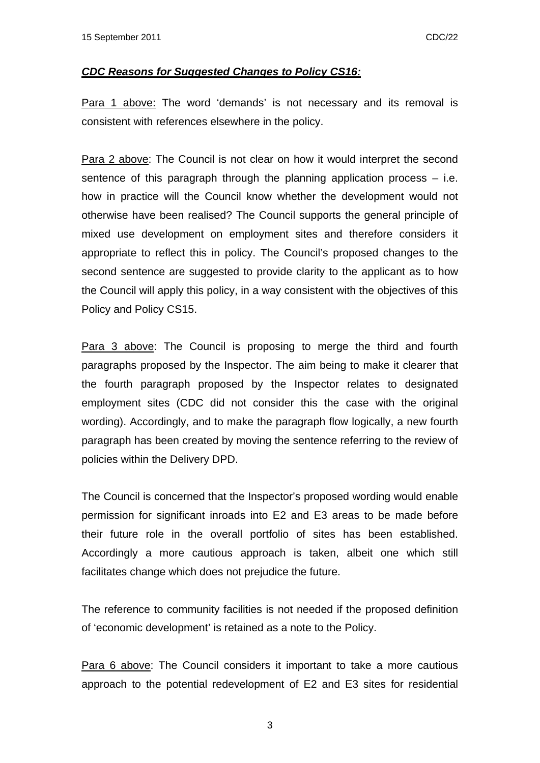#### *CDC Reasons for Suggested Changes to Policy CS16:*

Para 1 above: The word 'demands' is not necessary and its removal is consistent with references elsewhere in the policy.

Para 2 above: The Council is not clear on how it would interpret the second sentence of this paragraph through the planning application process  $-$  i.e. how in practice will the Council know whether the development would not otherwise have been realised? The Council supports the general principle of mixed use development on employment sites and therefore considers it appropriate to reflect this in policy. The Council's proposed changes to the second sentence are suggested to provide clarity to the applicant as to how the Council will apply this policy, in a way consistent with the objectives of this Policy and Policy CS15.

Para 3 above: The Council is proposing to merge the third and fourth paragraphs proposed by the Inspector. The aim being to make it clearer that the fourth paragraph proposed by the Inspector relates to designated employment sites (CDC did not consider this the case with the original wording). Accordingly, and to make the paragraph flow logically, a new fourth paragraph has been created by moving the sentence referring to the review of policies within the Delivery DPD.

The Council is concerned that the Inspector's proposed wording would enable permission for significant inroads into E2 and E3 areas to be made before their future role in the overall portfolio of sites has been established. Accordingly a more cautious approach is taken, albeit one which still facilitates change which does not prejudice the future.

The reference to community facilities is not needed if the proposed definition of 'economic development' is retained as a note to the Policy.

Para 6 above: The Council considers it important to take a more cautious approach to the potential redevelopment of E2 and E3 sites for residential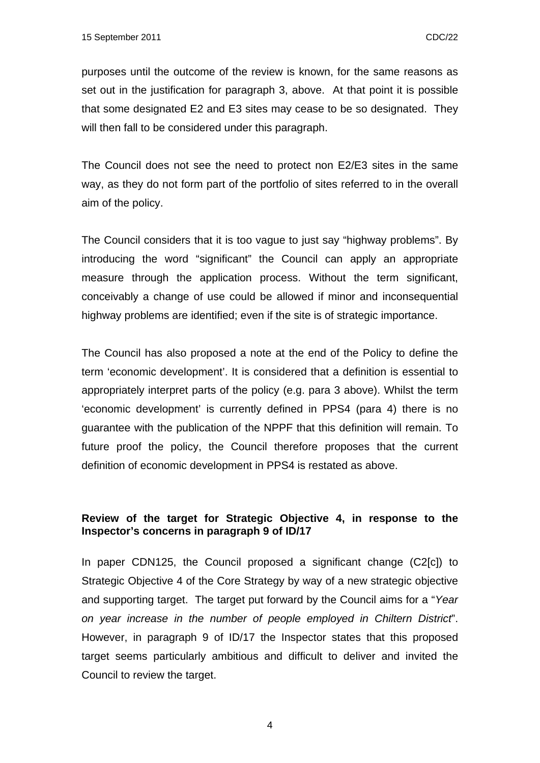purposes until the outcome of the review is known, for the same reasons as set out in the justification for paragraph 3, above. At that point it is possible that some designated E2 and E3 sites may cease to be so designated. They will then fall to be considered under this paragraph.

The Council does not see the need to protect non E2/E3 sites in the same way, as they do not form part of the portfolio of sites referred to in the overall aim of the policy.

The Council considers that it is too vague to just say "highway problems". By introducing the word "significant" the Council can apply an appropriate measure through the application process. Without the term significant, conceivably a change of use could be allowed if minor and inconsequential highway problems are identified; even if the site is of strategic importance.

The Council has also proposed a note at the end of the Policy to define the term 'economic development'. It is considered that a definition is essential to appropriately interpret parts of the policy (e.g. para 3 above). Whilst the term 'economic development' is currently defined in PPS4 (para 4) there is no guarantee with the publication of the NPPF that this definition will remain. To future proof the policy, the Council therefore proposes that the current definition of economic development in PPS4 is restated as above.

### **Review of the target for Strategic Objective 4, in response to the Inspector's concerns in paragraph 9 of ID/17**

In paper CDN125, the Council proposed a significant change (C2[c]) to Strategic Objective 4 of the Core Strategy by way of a new strategic objective and supporting target. The target put forward by the Council aims for a "*Year on year increase in the number of people employed in Chiltern District*". However, in paragraph 9 of ID/17 the Inspector states that this proposed target seems particularly ambitious and difficult to deliver and invited the Council to review the target.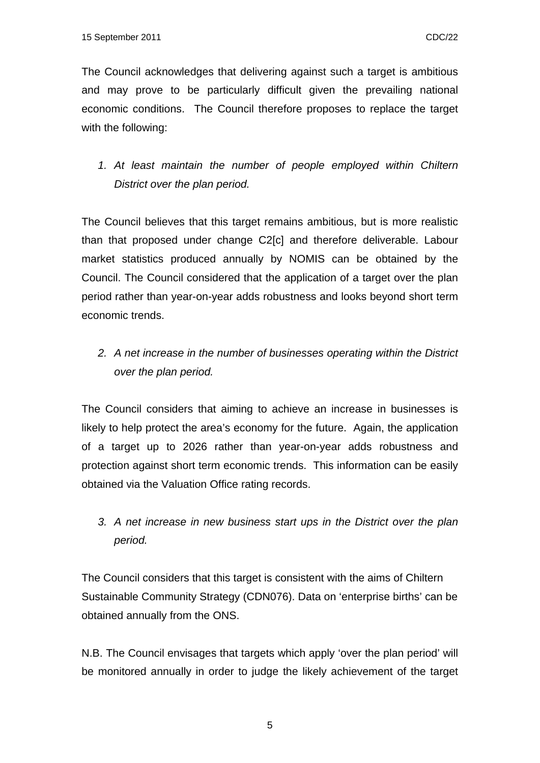The Council acknowledges that delivering against such a target is ambitious and may prove to be particularly difficult given the prevailing national economic conditions. The Council therefore proposes to replace the target with the following:

*1. At least maintain the number of people employed within Chiltern District over the plan period.* 

The Council believes that this target remains ambitious, but is more realistic than that proposed under change C2[c] and therefore deliverable. Labour market statistics produced annually by NOMIS can be obtained by the Council. The Council considered that the application of a target over the plan period rather than year-on-year adds robustness and looks beyond short term economic trends.

*2. A net increase in the number of businesses operating within the District over the plan period.* 

The Council considers that aiming to achieve an increase in businesses is likely to help protect the area's economy for the future. Again, the application of a target up to 2026 rather than year-on-year adds robustness and protection against short term economic trends. This information can be easily obtained via the Valuation Office rating records.

*3. A net increase in new business start ups in the District over the plan period.* 

The Council considers that this target is consistent with the aims of Chiltern Sustainable Community Strategy (CDN076). Data on 'enterprise births' can be obtained annually from the ONS.

N.B. The Council envisages that targets which apply 'over the plan period' will be monitored annually in order to judge the likely achievement of the target